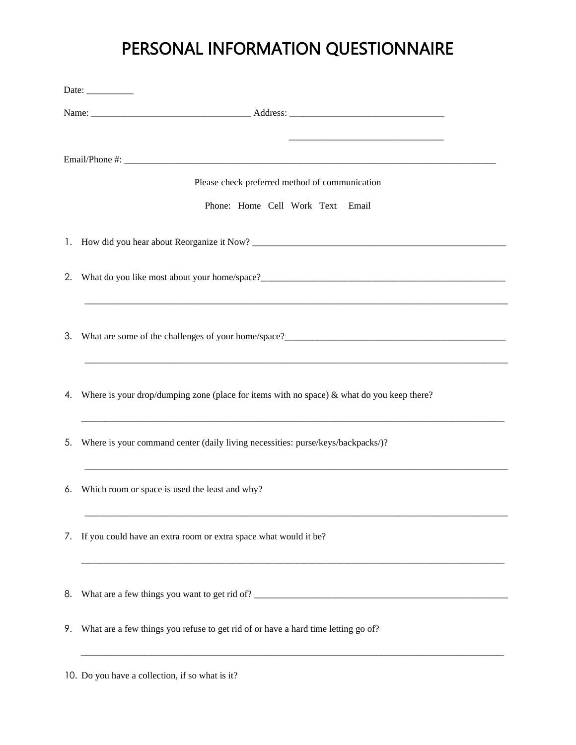## PERSONAL INFORMATION QUESTIONNAIRE

| Date:                                          |                                                                                              |
|------------------------------------------------|----------------------------------------------------------------------------------------------|
|                                                |                                                                                              |
|                                                |                                                                                              |
|                                                |                                                                                              |
| Please check preferred method of communication |                                                                                              |
|                                                | Phone: Home Cell Work Text Email                                                             |
|                                                |                                                                                              |
|                                                |                                                                                              |
|                                                | 3. What are some of the challenges of your home/space?<br><u>Conservation</u>                |
| 4.                                             | Where is your drop/dumping zone (place for items with no space) $\&$ what do you keep there? |
| 5.                                             | Where is your command center (daily living necessities: purse/keys/backpacks/)?              |
| 6.                                             | Which room or space is used the least and why?                                               |
| 7.                                             | If you could have an extra room or extra space what would it be?                             |
|                                                | 8. What are a few things you want to get rid of?                                             |
| 9.                                             | What are a few things you refuse to get rid of or have a hard time letting go of?            |
|                                                |                                                                                              |

10. Do you have a collection, if so what is it?